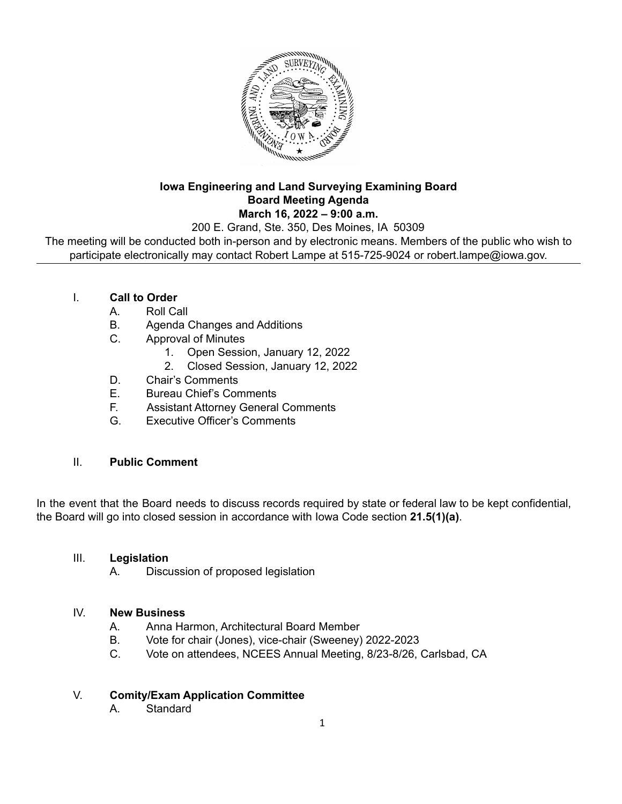

## **Iowa Engineering and Land Surveying Examining Board Board Meeting Agenda March 16, 2022 – 9:00 a.m.**

200 E. Grand, Ste. 350, Des Moines, IA 50309

The meeting will be conducted both in-person and by electronic means. Members of the public who wish to participate electronically may contact Robert Lampe at 515-725-9024 or robert.lampe@iowa.gov.

# I. **Call to Order**

- A. Roll Call
- B. Agenda Changes and Additions
- C. Approval of Minutes
	- 1. Open Session, January 12, 2022
	- 2. Closed Session, January 12, 2022
- D. Chair's Comments
- E. Bureau Chief's Comments
- F. Assistant Attorney General Comments
- G. Executive Officer's Comments

## II. **Public Comment**

In the event that the Board needs to discuss records required by state or federal law to be kept confidential, the Board will go into closed session in accordance with Iowa Code section **21.5(1)(a)**.

## III. **Legislation**

A. Discussion of proposed legislation

## IV. **New Business**

- A. Anna Harmon, Architectural Board Member
- B. Vote for chair (Jones), vice-chair (Sweeney) 2022-2023
- C. Vote on attendees, NCEES Annual Meeting, 8/23-8/26, Carlsbad, CA

## V. **Comity/Exam Application Committee**

A. Standard